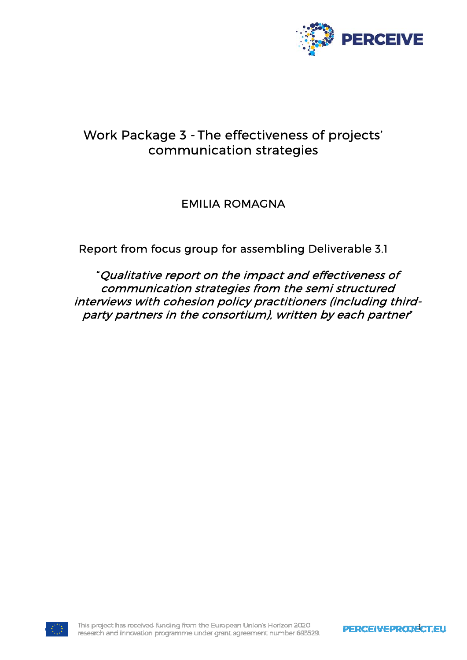

# Work Package 3 - The effectiveness of projects' communication strategies

# EMILIA ROMAGNA

Report from focus group for assembling Deliverable 3.1

"Qualitative report on the impact and effectiveness of communication strategies from the semi structured interviews with cohesion policy practitioners (including thirdparty partners in the consortium), written by each partner"

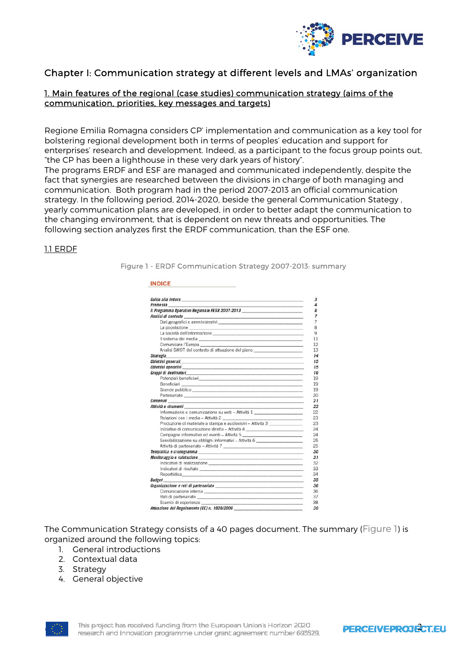

# Chapter I: Communication strategy at different levels and LMAs' organization

# 1. Main features of the regional (case studies) communication strategy (aims of the communication, priorities, key messages and targets)

Regione Emilia Romagna considers CP' implementation and communication as a key tool for bolstering regional development both in terms of peoples' education and support for enterprises' research and development. Indeed, as a participant to the focus group points out, "the CP has been a lighthouse in these very dark years of history".

The programs ERDF and ESF are managed and communicated independently, despite the fact that synergies are researched between the divisions in charge of both managing and communication. Both program had in the period 2007-2013 an official communication strategy. In the following period, 2014-2020, beside the general Communication Stategy , yearly communication plans are developed, in order to better adapt the communication to the changing environment, that is dependent on new threats and opportunities. The following section analyzes first the ERDF communication, than the ESF one.

#### 1.1 ERDF

Figure 1 - ERDF Communication Strategy 2007-2013: summary

| Guida alla lettura <b>alla contra la contra la contra la contra la contra la contra la contra la contra la contra l</b>                                                                                                             |  |
|-------------------------------------------------------------------------------------------------------------------------------------------------------------------------------------------------------------------------------------|--|
| <b>Premessa</b>                                                                                                                                                                                                                     |  |
| Il Programma Operativo Regionale FESR 2007-2013                                                                                                                                                                                     |  |
|                                                                                                                                                                                                                                     |  |
| Dati geografici e amministrativi e e contra a contra a contra a contra a contra a contra a contra a contra a contra a contra a contra a contra a contra a contra a contra a contra a contra a contra a contra a contra a contr      |  |
| the contract of the contract of the contract of the contract of the contract of                                                                                                                                                     |  |
| La società dell'informazione e established all'established all'informazione e established all'informazione e e                                                                                                                      |  |
| Il sistema dei media entre all'anno 1992 all'altresse del controlle del controlle del controlle del controlle del controlle del controlle del controlle del controlle del controlle del controlle del controlle del controlle       |  |
| Comunicare l'Europa                                                                                                                                                                                                                 |  |
| Analisi SWOT del contesto di attuazione del piano ______________________________                                                                                                                                                    |  |
| <b>Strategia</b><br>a series and the series of the series of the series of the series of the series of the series of the series of                                                                                                  |  |
| Obiettivi generali <i>bilimi della chiesa di controllationi di controllationi di controllationi di controllation</i>                                                                                                                |  |
|                                                                                                                                                                                                                                     |  |
| Gruppi di destinatari                                                                                                                                                                                                               |  |
| Potenziali beneficiari <b>beneficiari</b> et al. 2001 - a construction and a construction of the construction of the construction of the construction of the construction of the construction of the construction of the constructi |  |
| Beneficiari <b>contra al contra al contra al contra al contra al contra al contra al contra al contra al contra a</b>                                                                                                               |  |
| Grande pubblico                                                                                                                                                                                                                     |  |
| Partenariato                                                                                                                                                                                                                        |  |
| <b>Contenuti</b><br>And the company's control of the company's control of the company's control of the company's                                                                                                                    |  |
| Attività e strumenti                                                                                                                                                                                                                |  |
| Informazione e comunicazione su web - Attività 1 ________________________________                                                                                                                                                   |  |
|                                                                                                                                                                                                                                     |  |
| Produzione di materiale a stampa e audiovisivi - Attività 3                                                                                                                                                                         |  |
| Iniziative di comunicazione diretta - Attività 4 _______________________________                                                                                                                                                    |  |
| Campagne informative ed eventi - Attività 5                                                                                                                                                                                         |  |
| Sensibilizzazione su obblighi informativi - Attività 6 _________________________                                                                                                                                                    |  |
| Attività di partenariato - Attività 7                                                                                                                                                                                               |  |
| Tempistica e cronogramma                                                                                                                                                                                                            |  |
|                                                                                                                                                                                                                                     |  |
|                                                                                                                                                                                                                                     |  |
| Indicatori di risultato established all'altres anno 1992 all'altres all'altres all'altres all'altres all'altres                                                                                                                     |  |
| Reportistica en la constitución de la constitución de la constitución de la constitución de la constitución de                                                                                                                      |  |
| <b>Budget</b>                                                                                                                                                                                                                       |  |
| Organizzazione e reti di partenariato                                                                                                                                                                                               |  |
|                                                                                                                                                                                                                                     |  |
|                                                                                                                                                                                                                                     |  |
| Scambi di esperienze                                                                                                                                                                                                                |  |

The Communication Strategy consists of a 40 pages document. The summary (Figure 1) is organized around the following topics:

- 1. General introductions
- 2. Contextual data
- 3. Strategy
- 4. General objective



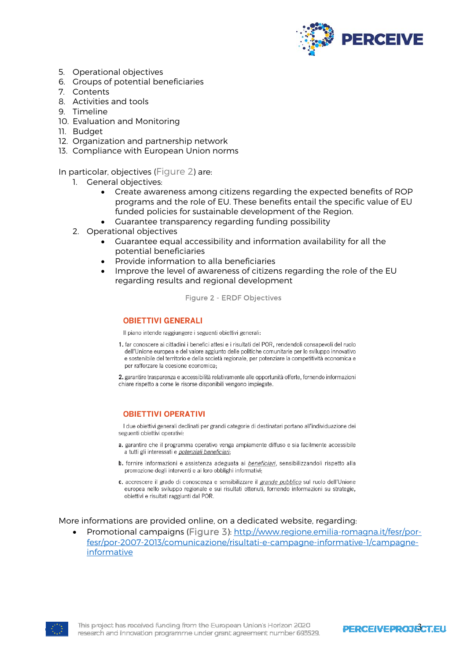

- 5. Operational objectives
- 6. Groups of potential beneficiaries
- 7. Contents
- 8. Activities and tools
- 9. Timeline
- 10. Evaluation and Monitoring
- 11. Budget
- 12. Organization and partnership network
- 13. Compliance with European Union norms

In particolar, objectives (Figure 2) are:

- 1. General objectives:
	- Create awareness among citizens regarding the expected benefits of ROP programs and the role of EU. These benefits entail the specific value of EU funded policies for sustainable development of the Region.
	- Guarantee transparency regarding funding possibility
- 2. Operational objectives
	- Guarantee equal accessibility and information availability for all the potential beneficiaries
	- Provide information to alla beneficiaries
	- Improve the level of awareness of citizens regarding the role of the EU regarding results and regional development

Figure 2 - ERDF Objectives

#### **OBIETTIVI GENERALI**

Il piano intende raggiungere i seguenti obiettivi generali:

1. far conoscere ai cittadini i benefici attesi e i risultati del POR, rendendoli consapevoli del ruolo dell'Unione europea e del valore aggiunto delle politiche comunitarie per lo sviluppo innovativo e sostenibile del territorio e della società regionale, per potenziare la competitività economica e per rafforzare la coesione economica;

2. garantire trasparenza e accessibilità relativamente alle opportunità offerte, fornendo informazioni chiare rispetto a come le risorse disponibili vengono impiegate.

#### **OBIETTIVI OPERATIVI**

I due obiettivi generali declinati per grandi categorie di destinatari portano all'individuazione dei seguenti obiettivi operativi:

- a. garantire che il programma operativo venga ampiamente diffuso e sia facilmente accessibile a tutti gli interessati e potenziali beneficiari;
- b. fornire informazioni e assistenza adeguata ai beneficiari, sensibilizzandoli rispetto alla promozione degli interventi e ai loro obblighi informativi;
- c. accrescere il grado di conoscenza e sensibilizzare il grande pubblico sul ruolo dell'Unione europea nello sviluppo regionale e sui risultati ottenuti, fornendo informazioni su strategie, obiettivi e risultati raggiunti dal POR.

#### More informations are provided online, on a dedicated website, regarding:

 Promotional campaigns (Figure 3): http://www.regione.emilia-romagna.it/fesr/porfesr/por-2007-2013/comunicazione/risultati-e-campagne-informative-1/campagneinformative



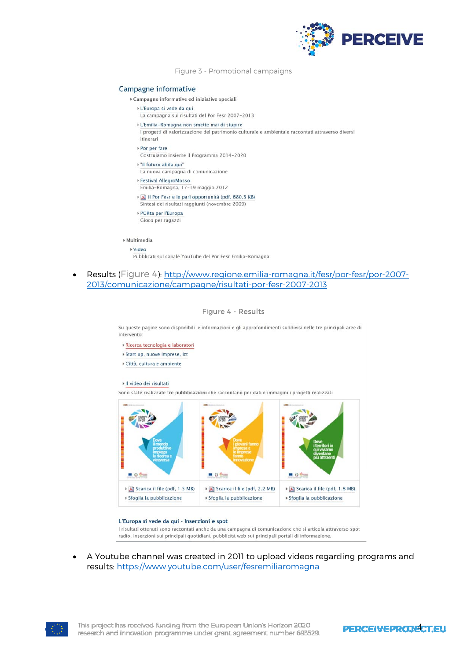

Figure 3 - Promotional campaigns

#### Campagne informative

- ▶ Campagne informative ed iniziative speciali
	- ▶ L'Europa si vede da qui
		- La campagna sui risultati del Por Fesr 2007-2013
	- » L'Emilia-Romagna non smette mai di stupire
	- I progetti di valorizzazione del patrimonio culturale e ambientale raccontati attraverso diversi itinerari
	- ▶ Por per fare
	- Costruiamo insieme il Programma 2014-2020
	- » "Il futuro abita qui"
	- La nuova campagna di comunicazione
	- ▶ Festival AllegroMosso
	- Emilia-Romagna, 17-19 maggio 2012
	- Il Por Fesr e le pari opportunità (pdf, 680.3 KB) Sintesi dei risultati raggiunti (novembre 2009)
	- ▶ PORta per l'Europa
	- Gioco per ragazzi

» Multimedia

- ▶ Video
- Pubblicati sul canale YouTube del Por Fesr Emilia-Romagna
- Results (Figure 4): http://www.regione.emilia-romagna.it/fesr/por-fesr/por-2007- 2013/comunicazione/campagne/risultati-por-fesr-2007-2013

#### Figure 4 - Results

Su queste pagine sono disponibili le informazioni e gli approfondimenti suddivisi nelle tre principali aree di intervento

- » Ricerca tecnologia e laboratori
- » Start up, nuove imprese, ict
- ▶ Città, cultura e ambiente

#### Il video dei risultati

Sono state realizzate tre pubblicazioni che raccontano per dati e immagini i progetti realizzati



#### L'Europa si vede da qui - Inserzioni e spot

I risultati ottenuti sono raccontati anche da una campagna di comunicazione che si articola attraverso spot radio, inserzioni sui principali quotidiani, pubblicità web sui principali portali di informazione.

 A Youtube channel was created in 2011 to upload videos regarding programs and results: https://www.youtube.com/user/fesremiliaromagna

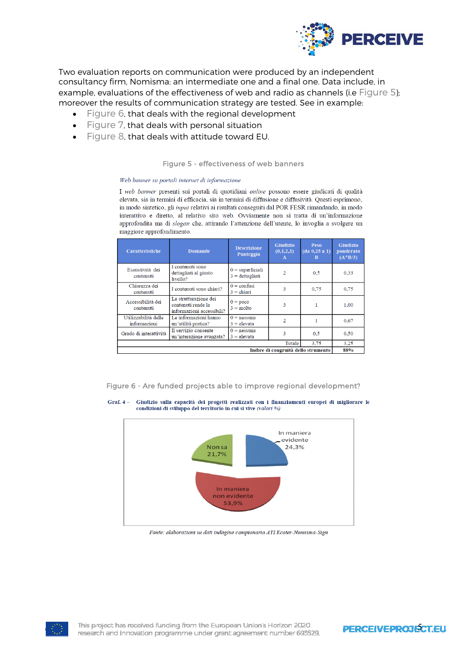

Two evaluation reports on communication were produced by an independent consultancy firm, Nomisma: an intermediate one and a final one. Data include, in example, evaluations of the effectiveness of web and radio as channels (i.e Figure 5); moreover the results of communication strategy are tested. See in example:

- Figure 6, that deals with the regional development
- Figure 7, that deals with personal situation
- Figure 8, that deals with attitude toward EU.

#### Figure 5 - effectiveness of web banners

#### Web banner su portali internet di informazione

I web banner presenti sui portali di quotidiani online possono essere giudicati di qualità elevata, sia in termini di efficacia, sia in termini di diffusione e diffusività. Questi esprimono, in modo sintetico, gli *input* relativi ai risultati conseguiti dal POR FESR rimandando, in modo interattivo e diretto, al relativo sito web. Ovviamente non si tratta di un'informazione approfondita ma di slogan che, attirando l'attenzione dell'utente, lo invoglia a svolgere un maggiore approfondimento.

| <b>Caratteristiche</b>               | <b>Domande</b>                                                           | <b>Descrizione</b><br>Punteggio         | <b>Giudizio</b><br>(0,1,2,3)<br>$\mathbf{A}$ | Peso<br>(da 0, 25 a 1)<br>B | <b>Giudizio</b><br>ponderato<br>$(A * B/3)$ |  |  |  |  |  |
|--------------------------------------|--------------------------------------------------------------------------|-----------------------------------------|----------------------------------------------|-----------------------------|---------------------------------------------|--|--|--|--|--|
| Esaustività dei<br>contenuti         | I contenuti sono<br>dettagliati al giusto<br>livello?                    | $0 = superficiali$<br>$3 = dettagliati$ | $\overline{2}$                               | 0.5                         | 0.33                                        |  |  |  |  |  |
| Chiarezza dei<br>contenuti           | I contenuti sono chiari?                                                 | $0 =$ confusi<br>$3 =$ chiari           | 3                                            | 0,75                        | 0.75                                        |  |  |  |  |  |
| Accessibilità dei<br>contenuti       | La strutturazione dei<br>contenuti rende le<br>informazioni accessibili? | $0 = p\alpha$<br>$3 = \text{molto}$     | 3                                            |                             | 1.00                                        |  |  |  |  |  |
| Utilizzabilità delle<br>informazioni | Le informazioni hanno<br>un'utilità pratica?                             | $0 =$ nessuna<br>$3 =$ elevata          |                                              |                             | 0.67                                        |  |  |  |  |  |
| Grado di interattività               | Il servizio consente<br>un'interazione avanzata?                         | $0 =$ nessuna<br>$3 =$ elevata          | 3                                            | 0.5                         | 0.50                                        |  |  |  |  |  |
|                                      |                                                                          |                                         | Totale                                       | 3.75                        | 3.25                                        |  |  |  |  |  |
| Indice di congruità dello strumento  |                                                                          |                                         |                                              |                             |                                             |  |  |  |  |  |

Figure 6 - Are funded projects able to improve regional development?





Fonte: elaborazioni su dati indagine campionaria ATI Ecoter-Nomisma-Sign



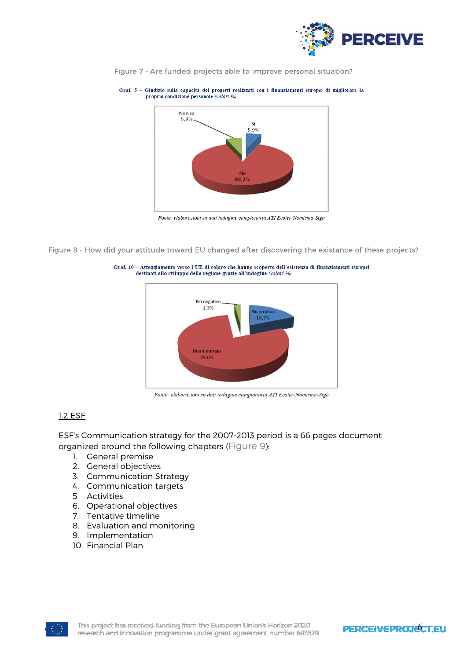





Fonte: elaborazioni su dati indagine campionaria ATI Ecoter-Nomisma-Sign

Figure 8 - How did your attitude toward EU changed after discovering the existance of these projects?





Fonte: elaborazioni su dati indagine campionaria ATI Ecoter-Nomisma-Sign

## 1.2 ESF

ESF's Communication strategy for the 2007-2013 period is a 66 pages document organized around the following chapters (Figure 9):

- 1. General premise
- 2. General objectives
- 3. Communication Strategy
- 4. Communication targets
- 5. Activities
- 6. Operational objectives
- 7. Tentative timeline
- 8. Evaluation and monitoring
- 9. Implementation
- 10. Financial Plan

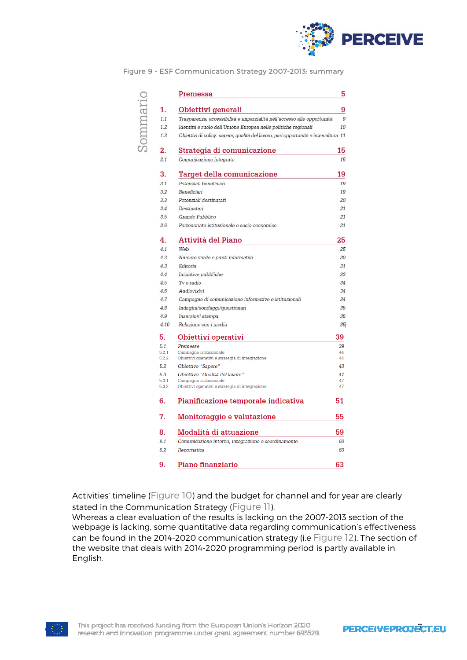

|         |                | Premessa                                                                            | 5             |
|---------|----------------|-------------------------------------------------------------------------------------|---------------|
|         | 1.             | Obiettivi generali                                                                  | 9             |
|         | 1.1            | Trasparenza, accessibilità e imparzialità nell'accesso alle opportunità             | $\mathcal{G}$ |
|         | 1.2.           | Identità e ruolo dell'Unione Europea nelle politiche regionali                      | 10            |
| icumuoi | 1.3            | Obiettivi di policy: sapere, qualità del lavoro, pari opportunità e intercultura 11 |               |
|         | 2.             | Strategia di comunicazione                                                          | 15            |
|         | 2.1            | Comunicazione integrata                                                             | 15            |
|         | 3.             | <b>Target della comunicazione</b>                                                   | 19            |
|         | 3.1            | Potenziali beneficiari                                                              | 19            |
|         | 3.2            | Beneficiari                                                                         | 19            |
|         | 3.3            | Potenziali destinatari                                                              | 20            |
|         | 3.4            | Destinatari                                                                         | 21            |
|         | 3.5            | Grande Pubblico                                                                     | 21            |
|         | 3.6            | Partenariato istituzionale e socio-economico                                        | 21            |
|         | 4.             | <b>Attività del Piano</b>                                                           | 25            |
|         | 4.1            | Web                                                                                 | 25            |
|         | 4.2            | Numero verde e punti informativi                                                    | 30            |
|         | 4.3            | Editoria                                                                            | 31            |
|         | 4.4            | Iniziative pubbliche                                                                | 32            |
|         | 4.5            | Tv e radio                                                                          | 34            |
|         | 4.6            | Audiovisivi                                                                         | 34            |
|         | 4.7            | Campagne di comunicazione informative e istituzionali                               | 34            |
|         | 4.8            |                                                                                     | 35            |
|         |                | Indagini/sondaggi/questionari                                                       |               |
|         | 4.9            | Inserzioni stampa                                                                   | 35            |
|         | 4.10           | Relazione con i media                                                               | 35            |
|         | 5.             | Obiettivi operativi                                                                 | 39            |
|         | 5.1            | Premesse                                                                            | 39            |
|         | 5.2.1<br>5.2.2 | Campagna istituzionale<br>Obiettivi operativi e strategia di integrazione           | 44<br>44      |
|         | 5.2            | Obiettivo "Sapere"                                                                  | 43            |
|         | 5.3            | Obiettivo "Qualità del lavoro"                                                      | 47            |
|         | 5.3.1          | Campagna istituzionale                                                              | 47            |
|         | 5.3.2          | Obiettivi operativi e strategia di integrazione                                     | 47            |
|         | 6.             | 51                                                                                  |               |
|         | 7.             | Monitoraggio e valutazione                                                          | 55            |
|         | 8.             | Modalità di attuazione                                                              | 59            |
|         | 8.1            | Comunicazione interna, integrazione e coordinamento                                 | 60            |
|         | 8.2            | Reportistica                                                                        | 60            |
|         | 9.             | Piano finanziario                                                                   | 63            |
|         |                |                                                                                     |               |

Figure 9 - ESF Communication Strategy 2007-2013: summary

Activities' timeline (Figure 10) and the budget for channel and for year are clearly stated in the Communication Strategy (Figure 11).

Whereas a clear evaluation of the results is lacking on the 2007-2013 section of the webpage is lacking, some quantitative data regarding communication's effectiveness can be found in the 2014-2020 communication strategy (i.e Figure 12). The section of the website that deals with 2014-2020 programming period is partly available in English.

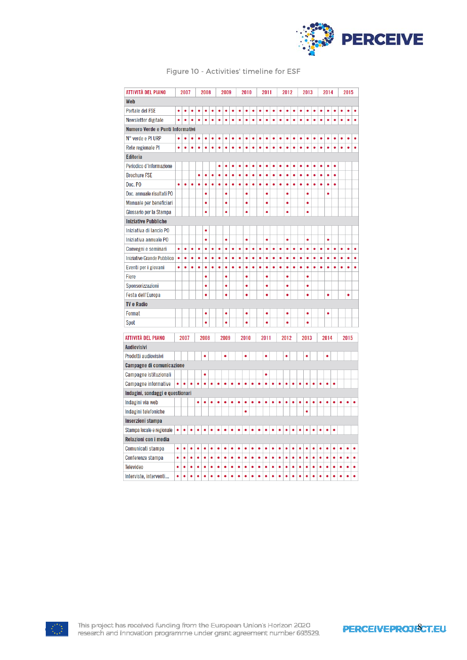

| ATTIVITÀ DEL PIANO               |           | 2007      |           |           | 2008      |           | 2009      |           | 2010      |           | 2011      |           |           | 2012      |           | 2013      |           |           | 2014      |           |           | 2015      |           |           |           |           |           |
|----------------------------------|-----------|-----------|-----------|-----------|-----------|-----------|-----------|-----------|-----------|-----------|-----------|-----------|-----------|-----------|-----------|-----------|-----------|-----------|-----------|-----------|-----------|-----------|-----------|-----------|-----------|-----------|-----------|
| Web                              |           |           |           |           |           |           |           |           |           |           |           |           |           |           |           |           |           |           |           |           |           |           |           |           |           |           |           |
| <b>Portale del FSE</b>           | $\bullet$ |           |           |           |           |           |           |           |           |           |           |           |           |           |           |           |           |           |           |           |           |           |           |           |           |           |           |
| Newsletter digitale              |           |           |           |           |           |           |           |           |           |           |           |           |           |           |           |           |           |           |           |           |           |           |           |           |           |           |           |
| Numero Verde e Punti Informativi |           |           |           |           |           |           |           |           |           |           |           |           |           |           |           |           |           |           |           |           |           |           |           |           |           |           |           |
| N° verde e PI URP                | ٠         |           |           |           | O         |           |           |           |           |           |           |           |           |           |           |           |           |           |           |           |           |           |           |           |           |           |           |
| Rete regionale PI                | $\bullet$ | $\bullet$ | $\bullet$ | $\bullet$ | $\bullet$ | $\bullet$ | ٠         | ۰         | $\bullet$ | $\bullet$ | $\bullet$ | $\bullet$ | $\bullet$ | $\bullet$ | $\bullet$ | $\bullet$ | $\bullet$ | $\bullet$ | $\bullet$ | $\bullet$ | $\bullet$ | $\bullet$ | $\bullet$ |           |           | ä         | $\bullet$ |
| <b>Editoria</b>                  |           |           |           |           |           |           |           |           |           |           |           |           |           |           |           |           |           |           |           |           |           |           |           |           |           |           |           |
| Periodico d'Informazione         |           |           |           |           |           |           | ۰         | ٠         | ۰         | ۰         | ٠         | ۰         | ۰         | ۰         | ٠         | ۰         | ۰         | ۰         | $\bullet$ | ۰         | ۰         | ٠         | ۰         | ۰         |           |           |           |
| <b>Brochure FSE</b>              |           |           |           | ۰         | $\bullet$ | ۰         | ٠         | ۰         | $\bullet$ | $\bullet$ | $\bullet$ | $\bullet$ | $\bullet$ | $\bullet$ | $\bullet$ | $\bullet$ | $\bullet$ | $\bullet$ | $\bullet$ | $\bullet$ | $\bullet$ | $\bullet$ | $\bullet$ | $\bullet$ |           |           |           |
| Doc. PO                          | ٠         | ۰         | $\bullet$ |           | $\bullet$ | ۰         | $\bullet$ | ۰         | $\bullet$ | $\bullet$ | $\bullet$ | $\bullet$ | ۰         | ۰         | ۰         | $\bullet$ | $\bullet$ | $\bullet$ | $\bullet$ | $\bullet$ | ۰         | ۰         | $\bullet$ | $\bullet$ |           |           |           |
| Doc. annuale risultati PO        |           |           |           |           | $\bullet$ |           |           | $\bullet$ |           |           | $\bullet$ |           |           | $\bullet$ |           |           | $\bullet$ |           |           | $\bullet$ |           |           | $\bullet$ |           |           |           |           |
| Manuale per beneficiari          |           |           |           |           | ۰         |           |           | ۰         |           |           | ۰         |           |           | ٠         |           |           | ۰         |           |           | $\bullet$ |           |           |           |           |           |           |           |
| Glossario per la Stampa          |           |           |           |           | $\bullet$ |           |           | $\bullet$ |           |           | $\bullet$ |           |           | ۰         |           |           | ٠         |           |           | ٠         |           |           |           |           |           |           |           |
| <b>Iniziative Pubbliche</b>      |           |           |           |           |           |           |           |           |           |           |           |           |           |           |           |           |           |           |           |           |           |           |           |           |           |           |           |
| Iniziativa di lancio PO          |           |           |           |           | $\bullet$ |           |           |           |           |           |           |           |           |           |           |           |           |           |           |           |           |           |           |           |           |           |           |
| Iniziativa annuale PO            |           |           |           |           | ۰         |           |           | ۰         |           |           | ۰         |           |           | ۰         |           |           | ۰         |           |           | ۰         |           |           | ۰         |           |           |           |           |
| Convegni e seminari              | ٠         | ٠         | ٠         | ٠         | $\bullet$ | ۰         | ٠         | ۰         | ۰         | ۰         | ۰         | ٠         | ٠         | ٠         | ٠         | ٠         | ۰         | ٠         | ٠         | ۰         | ٠         | ٠         | ۰         | ۰         | ٠         | ٠         | ٠         |
| Iniziative Grande Pubblico       | $\bullet$ | $\bullet$ | $\bullet$ | ۰         | $\bullet$ | $\bullet$ | $\bullet$ | $\bullet$ | $\bullet$ | $\bullet$ | $\bullet$ | $\bullet$ | $\bullet$ | $\bullet$ | $\bullet$ | $\bullet$ | $\bullet$ | ۰         | $\bullet$ | $\bullet$ | ۰         | ۰         | $\bullet$ | $\bullet$ | $\bullet$ | $\bullet$ | $\bullet$ |
| Eventi per i giovani             | $\bullet$ | ۰         | $\bullet$ | $\bullet$ | $\bullet$ | ۰         | $\bullet$ | ٠         | ۰         | $\bullet$ | $\bullet$ | $\bullet$ | $\bullet$ | $\bullet$ | ۰         | ۰         | $\bullet$ | ۰         | $\bullet$ | $\bullet$ | ۰         | ۰         | ۰         | $\bullet$ | $\bullet$ | $\bullet$ | $\bullet$ |
| Fiere                            |           |           |           |           | ٠         |           |           | $\bullet$ |           |           | ٠         |           |           | ٠         |           |           | ٠         |           |           | ٠         |           |           |           |           |           |           |           |
| Sponsorizzazioni                 |           |           |           |           | $\bullet$ |           |           | $\bullet$ |           |           | $\bullet$ |           |           | ٠         |           |           | $\bullet$ |           |           | $\bullet$ |           |           |           |           |           |           |           |
| Festa dell'Europa                |           |           |           |           | $\bullet$ |           |           | $\bullet$ |           |           | $\bullet$ |           |           | $\bullet$ |           |           | $\bullet$ |           |           | $\bullet$ |           |           | $\bullet$ |           |           | $\bullet$ |           |
| <b>TV e Radio</b>                |           |           |           |           |           |           |           |           |           |           |           |           |           |           |           |           |           |           |           |           |           |           |           |           |           |           |           |
| Format                           |           |           |           |           | $\bullet$ |           |           | ٠         |           |           | ٠         |           |           | ٠         |           |           | $\bullet$ |           |           | ٠         |           |           | ٠         |           |           |           |           |
| Spot                             |           |           |           |           | $\bullet$ |           |           | ò         |           |           | ŏ         |           |           | ò         |           |           | ò         |           |           | ٠         |           |           |           |           |           |           |           |
|                                  |           |           |           |           |           |           |           |           |           |           |           |           |           |           |           |           |           |           |           |           |           |           |           |           |           |           |           |
| ATTIVITÀ DEL PIANO               |           | 2007      |           |           | 2008      |           |           | 2009      |           |           | 2010      |           |           | 2011      |           |           | 2012      |           |           | 2013      |           |           | 2014      |           |           | 2015      |           |
| <b>Audiovisivi</b>               |           |           |           |           |           |           |           |           |           |           |           |           |           |           |           |           |           |           |           |           |           |           |           |           |           |           |           |
| Prodotti audiovisivi             |           |           |           |           | ۰         |           |           | $\bullet$ |           |           | $\bullet$ |           |           | ۰         |           |           | $\bullet$ |           |           | $\bullet$ |           |           | $\bullet$ |           |           |           |           |
| <b>Campagne di comunicazione</b> |           |           |           |           |           |           |           |           |           |           |           |           |           |           |           |           |           |           |           |           |           |           |           |           |           |           |           |
| Campagne istituzionali           |           |           |           |           | ۰         |           |           |           |           |           |           |           |           | ۰         |           |           |           |           |           |           |           |           |           |           |           |           |           |
| <b>Campagne informative</b>      |           | ۰         | ۰         | $\bullet$ | ۰         | ۰         | ۰         | ۰         | ۰         | ۰         | ۰         | ۰         | ۰         | ۰         | ٠         | ۰         | ۰         | ۰         | ۰         | ۰         | ۰         | ۰         | ۰         | ۰         |           |           |           |
| Indagini, sondaggi e questionari |           |           |           |           |           |           |           |           |           |           |           |           |           |           |           |           |           |           |           |           |           |           |           |           |           |           |           |
| Indagini via web                 |           |           |           | ۰         | ۰         | ۰         | ۰         | ۰         | ۰         | ۰         | ۰         | ò         | ۰         | ۰         | ۰         | ۰         | ۰         | ۰         | ۰         | ۰         | ۰         | ۰         | ٠         | ۰         |           | ò         | $\bullet$ |
| Indagini telefoniche             |           |           |           |           |           |           |           |           |           |           | $\bullet$ |           |           |           |           |           |           |           |           | $\bullet$ |           |           |           |           |           |           |           |
| Inserzioni stampa                |           |           |           |           |           |           |           |           |           |           |           |           |           |           |           |           |           |           |           |           |           |           |           |           |           |           |           |
| Stampa locale e regionale        | $\bullet$ | $\bullet$ | ٠         | ٠         | ٠         | ٠         | ٠         | ٠         | ٠         | ٠         | ٠         | ٠         |           | ٠         | ٠         | ۰         | ۰         | ٠         | ٠         | ۰         | ٠         | ٠         | ٠         | ٠         |           |           |           |
| Relazioni con i media            |           |           |           |           |           |           |           |           |           |           |           |           |           |           |           |           |           |           |           |           |           |           |           |           |           |           |           |
| Comunicati stampa                | $\bullet$ | ٠         | ٠         | ۰         | ٠         | ٠         | ٠         | $\bullet$ | ٠         | ٠         | ٠         | ۰         | ٠         | ٠         | $\bullet$ | $\bullet$ | ٠         | ٠         | ٠         | $\bullet$ | $\bullet$ | ٠         | ٠         | ٠         |           |           | ۰         |
| Conferenze stampa                | ۰         | ۰         | ۰         | ۰         | ۰         | ٠         | ۰         | ۰         | ۰         | ۰         | ۰         | ۰         | ۰         | ۰         | ۰         | ۰         | $\bullet$ | ۰         | ۰         | ۰         | $\bullet$ | $\bullet$ | ۰         | ۰         | ۰         | ۰         | $\bullet$ |
| <b>Televideo</b>                 | ۰         | ۰         | ۰         | $\bullet$ | $\bullet$ | $\bullet$ | $\bullet$ | $\bullet$ | ۰         | $\bullet$ | ۰         | $\bullet$ | $\bullet$ | $\bullet$ | ۰         | ۰         | $\bullet$ | $\bullet$ | $\bullet$ | $\bullet$ | $\bullet$ | $\bullet$ | ۰         | $\bullet$ | $\bullet$ | $\bullet$ | $\bullet$ |
| Interviste, interventi           | $\bullet$ | $\bullet$ | $\bullet$ | $\bullet$ | $\bullet$ | $\bullet$ | $\bullet$ | $\bullet$ | $\bullet$ | $\bullet$ | $\bullet$ | ۰         | $\bullet$ | $\bullet$ | $\bullet$ | $\bullet$ | $\bullet$ | $\bullet$ | $\bullet$ | $\bullet$ | $\bullet$ | $\bullet$ | $\bullet$ | $\bullet$ | $\bullet$ | $\bullet$ | $\bullet$ |

### Figure 10 - Activities' timeline for ESF



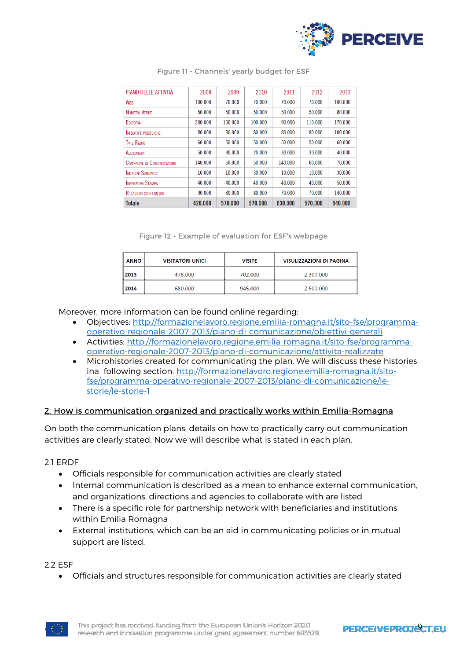

| PIANO DELLE ATTIVITÀ             | 2008    | 2009    | 2010    | 2011    | 2012    | 2013    |
|----------------------------------|---------|---------|---------|---------|---------|---------|
| WEB                              | 100.000 | 70.000  | 70,000  | 70,000  | 70,000  | 100,000 |
| NUMERO VERDE                     | 50.000  | 50.000  | 50.000  | 50.000  | 50.000  | 80,000  |
| <b>EDITORIA</b>                  | 200,000 | 100.000 | 100.000 | 90.000  | 110.000 | 170.000 |
| <b>INIZIATIVE PUBBLICHE</b>      | 80.000  | 90.000  | 80.000  | 80.000  | 80.000  | 100.000 |
| TV F RADIO                       | 60.000  | 50.000  | 50.000  | 50.000  | 50.000  | 60.000  |
| Audiovisivi                      | 50.000  | 30.000  | 20.000  | 30.000  | 30.000  | 40.000  |
| <b>CAMPAGNE DI COMUNICAZIONE</b> | 140.000 | 50.000  | 50.000  | 140.000 | 60.000  | 70.000  |
| <b>INDAGINI SONDAGGI</b>         | 10.000  | 10.000  | 30.000  | 10.000  | 10.000  | 30,000  |
| <b>INSERZIONI STAMPA</b>         | 40.000  | 40.000  | 40.000  | 40.000  | 40.000  | 50.000  |
| <b>RELAZIONI CON I MEDIA</b>     | 90.000  | 80.000  | 80.000  | 70.000  | 70.000  | 140.000 |
| <b>Totale</b>                    | 820,000 | 570.000 | 570,000 | 630,000 | 570,000 | 840,000 |

#### Figure 11 - Channels' yearly budget for ESF

Figure 12 - Example of evaluation for ESF's webpage

| <b>ANNO</b> | <b>VISITATORI UNICI</b> | <b>VISITE</b> | <b>VISULIZZAZIONI DI PAGINA</b> |
|-------------|-------------------------|---------------|---------------------------------|
| 2013        | 478,000                 | 702.000       | 2.300.000                       |
| 2014        | 680.000                 | 945,000       | 2.500.000                       |

Moreover, more information can be found online regarding:

- Objectives: http://formazionelavoro.regione.emilia-romagna.it/sito-fse/programmaoperativo-regionale-2007-2013/piano-di-comunicazione/obiettivi-generali
- Activities: http://formazionelavoro.regione.emilia-romagna.it/sito-fse/programmaoperativo-regionale-2007-2013/piano-di-comunicazione/attivita-realizzate
- Microhistories created for communicating the plan. We will discuss these histories ina following section: http://formazionelavoro.regione.emilia-romagna.it/sitofse/programma-operativo-regionale-2007-2013/piano-di-comunicazione/lestorie/le-storie-1

## 2. How is communication organized and practically works within Emilia-Romagna

On both the communication plans, details on how to practically carry out communication activities are clearly stated. Now we will describe what is stated in each plan.

## 2.1 ERDF

- Officials responsible for communication activities are clearly stated
- Internal communication is described as a mean to enhance external communication, and organizations, directions and agencies to collaborate with are listed
- There is a specific role for partnership network with beneficiaries and institutions within Emilia Romagna
- External institutions, which can be an aid in communicating policies or in mutual support are listed.

#### 2.2 ESF

Officials and structures responsible for communication activities are clearly stated



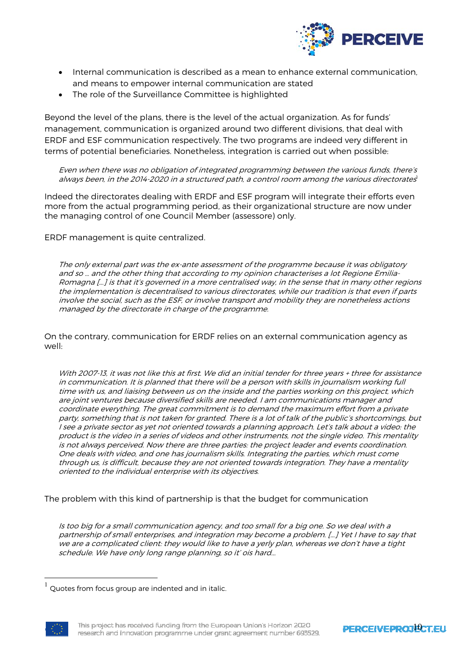

- Internal communication is described as a mean to enhance external communication, and means to empower internal communication are stated
- The role of the Surveillance Committee is highlighted

Beyond the level of the plans, there is the level of the actual organization. As for funds' management, communication is organized around two different divisions, that deal with ERDF and ESF communication respectively. The two programs are indeed very different in terms of potential beneficiaries. Nonetheless, integration is carried out when possible:

Even when there was no obligation of integrated programming between the various funds, there's always been, in the 2014-2020 in a structured path, a control room among the various directorates

Indeed the directorates dealing with ERDF and ESF program will integrate their efforts even more from the actual programming period, as their organizational structure are now under the managing control of one Council Member (assessore) only.

ERDF management is quite centralized.

The only external part was the ex-ante assessment of the programme because it was obligatory and so … and the other thing that according to my opinion characterises a lot Regione Emilia-Romagna [...] is that it's governed in a more centralised way, in the sense that in many other regions the implementation is decentralised to various directorates, while our tradition is that even if parts involve the social, such as the ESF, or involve transport and mobility they are nonetheless actions managed by the directorate in charge of the programme.

On the contrary, communication for ERDF relies on an external communication agency as well:

With 2007-13, it was not like this at first. We did an initial tender for three years + three for assistance in communication. It is planned that there will be a person with skills in journalism working full time with us, and liaising between us on the inside and the parties working on this project, which are joint ventures because diversified skills are needed. I am communications manager and coordinate everything. The great commitment is to demand the maximum effort from a private party, something that is not taken for granted. There is a lot of talk of the public's shortcomings, but I see a private sector as yet not oriented towards a planning approach. Let's talk about a video: the product is the video in a series of videos and other instruments, not the single video. This mentality is not always perceived. Now there are three parties: the project leader and events coordination. One deals with video, and one has journalism skills. Integrating the parties, which must come through us, is difficult, because they are not oriented towards integration. They have a mentality oriented to the individual enterprise with its objectives.

The problem with this kind of partnership is that the budget for communication

Is too big for a small communication agency, and too small for a big one. So we deal with a partnership of small enterprises, and integration may become a problem. [...] Yet I have to say that we are a complicated client: they would like to have a yerly plan, whereas we don't have a tight schedule. We have only long range planning, so it' ois hard...

Quotes from focus group are indented and in italic.



 $\overline{a}$ 

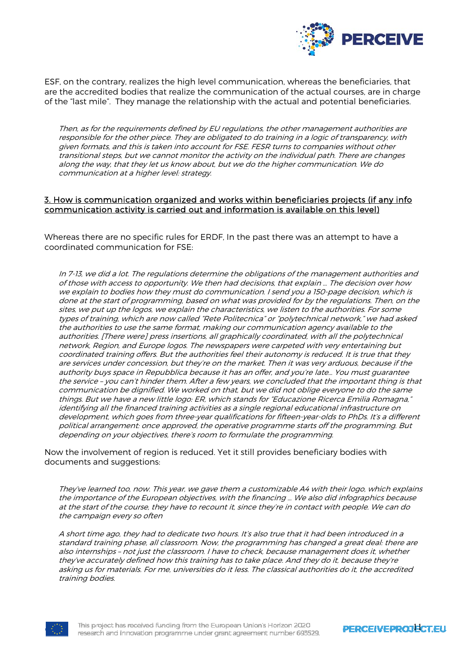

ESF, on the contrary, realizes the high level communication, whereas the beneficiaries, that are the accredited bodies that realize the communication of the actual courses, are in charge of the "last mile". They manage the relationship with the actual and potential beneficiaries.

Then, as for the requirements defined by EU regulations, the other management authorities are responsible for the other piece. They are obligated to do training in a logic of transparency, with given formats, and this is taken into account for FSE. FESR turns to companies without other transitional steps, but we cannot monitor the activity on the individual path. There are changes along the way, that they let us know about, but we do the higher communication. We do communication at a higher level: strategy.

#### 3. How is communication organized and works within beneficiaries projects (if any info communication activity is carried out and information is available on this level)

Whereas there are no specific rules for ERDF, In the past there was an attempt to have a coordinated communication for FSE:

In 7-13, we did a lot. The regulations determine the obligations of the management authorities and of those with access to opportunity. We then had decisions, that explain … The decision over how we explain to bodies how they must do communication. I send you a 150-page decision, which is done at the start of programming, based on what was provided for by the regulations. Then, on the sites, we put up the logos, we explain the characteristics, we listen to the authorities. For some types of training, which are now called "Rete Politecnica" or "polytechnical network," we had asked the authorities to use the same format, making our communication agency available to the authorities. [There were] press insertions, all graphically coordinated, with all the polytechnical network, Region, and Europe logos. The newspapers were carpeted with very entertaining but coordinated training offers. But the authorities feel their autonomy is reduced. It is true that they are services under concession, but they're on the market. Then it was very arduous, because if the authority buys space in Repubblica because it has an offer, and you're late… You must guarantee the service – you can't hinder them. After a few years, we concluded that the important thing is that communication be dignified. We worked on that, but we did not oblige everyone to do the same things. But we have a new little logo: ER, which stands for "Educazione Ricerca Emilia Romagna," identifying all the financed training activities as a single regional educational infrastructure on development, which goes from three-year qualifications for fifteen-year-olds to PhDs. It's a different political arrangement: once approved, the operative programme starts off the programming. But depending on your objectives, there's room to formulate the programming.

Now the involvement of region is reduced. Yet it still provides beneficiary bodies with documents and suggestions:

They've learned too, now. This year, we gave them a customizable A4 with their logo, which explains the importance of the European objectives, with the financing … We also did infographics because at the start of the course, they have to recount it, since they're in contact with people. We can do the campaign every so often

A short time ago, they had to dedicate two hours. It's also true that it had been introduced in a standard training phase, all classroom. Now, the programming has changed a great deal: there are also internships – not just the classroom. I have to check, because management does it, whether they've accurately defined how this training has to take place. And they do it, because they're asking us for materials. For me, universities do it less. The classical authorities do it, the accredited training bodies.



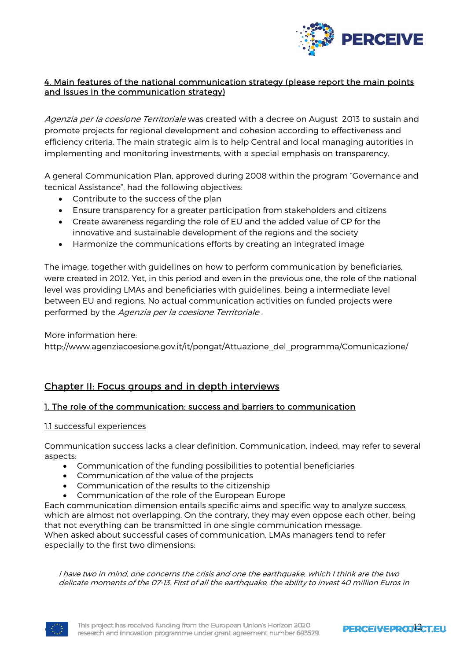

# 4. Main features of the national communication strategy (please report the main points and issues in the communication strategy)

Agenzia per la coesione Territoriale was created with a decree on August 2013 to sustain and promote projects for regional development and cohesion according to effectiveness and efficiency criteria. The main strategic aim is to help Central and local managing autorities in implementing and monitoring investments, with a special emphasis on transparency.

A general Communication Plan, approved during 2008 within the program "Governance and tecnical Assistance", had the following objectives:

- Contribute to the success of the plan
- Ensure transparency for a greater participation from stakeholders and citizens
- Create awareness regarding the role of EU and the added value of CP for the innovative and sustainable development of the regions and the society
- Harmonize the communications efforts by creating an integrated image

The image, together with guidelines on how to perform communication by beneficiaries, were created in 2012. Yet, in this period and even in the previous one, the role of the national level was providing LMAs and beneficiaries with guidelines, being a intermediate level between EU and regions. No actual communication activities on funded projects were performed by the Agenzia per la coesione Territoriale .

More information here:

http://www.agenziacoesione.gov.it/it/pongat/Attuazione\_del\_programma/Comunicazione/

# Chapter II: Focus groups and in depth interviews

## 1. The role of the communication: success and barriers to communication

## 1.1 successful experiences

Communication success lacks a clear definition. Communication, indeed, may refer to several aspects:

- Communication of the funding possibilities to potential beneficiaries
- Communication of the value of the projects
- Communication of the results to the citizenship
- Communication of the role of the European Europe

Each communication dimension entails specific aims and specific way to analyze success, which are almost not overlapping. On the contrary, they may even oppose each other, being that not everything can be transmitted in one single communication message. When asked about successful cases of communication, LMAs managers tend to refer especially to the first two dimensions:

I have two in mind, one concerns the crisis and one the earthquake, which I think are the two delicate moments of the 07-13. First of all the earthquake, the ability to invest 40 million Euros in



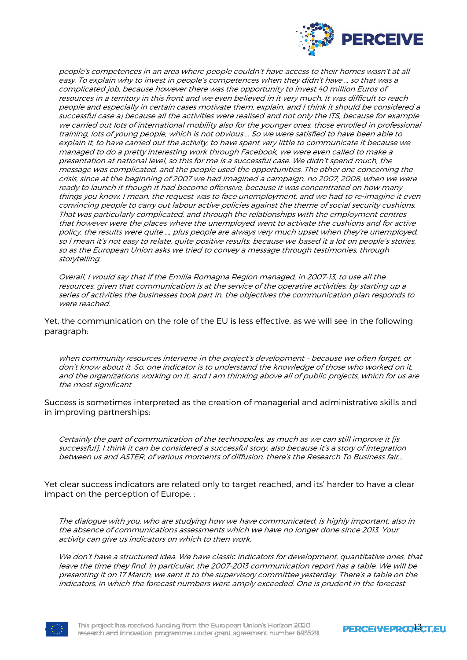

people's competences in an area where people couldn't have access to their homes wasn't at all easy. To explain why to invest in people's competences when they didn't have … so that was a complicated job, because however there was the opportunity to invest 40 million Euros of resources in a territory in this front and we even believed in it very much. It was difficult to reach people and especially in certain cases motivate them, explain, and I think it should be considered a successful case a) because all the activities were realised and not only the ITS, because for example we carried out lots of international mobility also for the younger ones, those enrolled in professional training, lots of young people, which is not obvious … So we were satisfied to have been able to explain it, to have carried out the activity, to have spent very little to communicate it because we managed to do a pretty interesting work through Facebook, we were even called to make a presentation at national level, so this for me is a successful case. We didn't spend much, the message was complicated, and the people used the opportunities. The other one concerning the crisis, since at the beginning of 2007 we had imagined a campaign, no 2007, 2008, when we were ready to launch it though it had become offensive, because it was concentrated on how many things you know, I mean, the request was to face unemployment, and we had to re-imagine it even convincing people to carry out labour active policies against the theme of social security cushions. That was particularly complicated, and through the relationships with the employment centres that however were the places where the unemployed went to activate the cushions and for active policy, the results were quite …, plus people are always very much upset when they're unemployed, so I mean it's not easy to relate, quite positive results, because we based it a lot on people's stories, so as the European Union asks we tried to convey a message through testimonies, through storytelling.

Overall, I would say that if the Emilia Romagna Region managed, in 2007-13, to use all the resources, given that communication is at the service of the operative activities, by starting up a series of activities the businesses took part in, the objectives the communication plan responds to were reached.

Yet, the communication on the role of the EU is less effective, as we will see in the following paragraph:

when community resources intervene in the project's development – because we often forget, or don't know about it. So, one indicator is to understand the knowledge of those who worked on it, and the organizations working on it, and I am thinking above all of public projects, which for us are the most significant

Success is sometimes interpreted as the creation of managerial and administrative skills and in improving partnerships:

Certainly the part of communication of the technopoles, as much as we can still improve it [is successful], I think it can be considered a successful story, also because it's a story of integration between us and ASTER, of various moments of diffusion, there's the Research To Business fair…

Yet clear success indicators are related only to target reached, and its' harder to have a clear impact on the perception of Europe. :

The dialogue with you, who are studying how we have communicated, is highly important, also in the absence of communications assessments which we have no longer done since 2013. Your activity can give us indicators on which to then work.

We don't have a structured idea. We have classic indicators for development, quantitative ones, that leave the time they find. In particular, the 2007-2013 communication report has a table. We will be presenting it on 17 March; we sent it to the supervisory committee yesterday. There's a table on the indicators, in which the forecast numbers were amply exceeded. One is prudent in the forecast

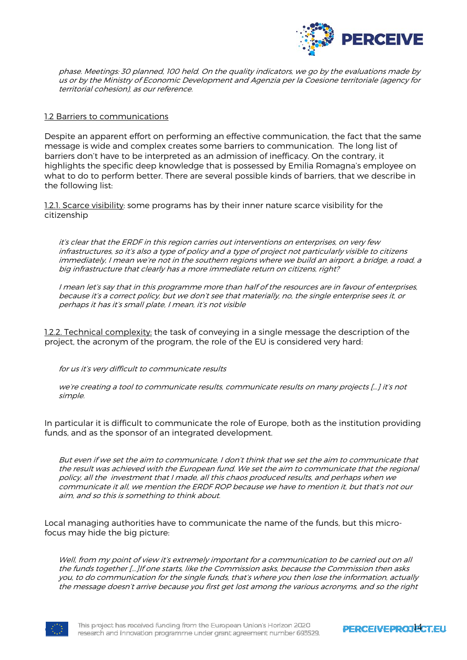

phase. Meetings: 30 planned, 100 held. On the quality indicators, we go by the evaluations made by us or by the Ministry of Economic Development and Agenzia per la Coesione territoriale (agency for territorial cohesion), as our reference.

#### 1.2 Barriers to communications

Despite an apparent effort on performing an effective communication, the fact that the same message is wide and complex creates some barriers to communication. The long list of barriers don't have to be interpreted as an admission of inefficacy. On the contrary, it highlights the specific deep knowledge that is possessed by Emilia Romagna's employee on what to do to perform better. There are several possible kinds of barriers, that we describe in the following list:

1.2.1. Scarce visibility: some programs has by their inner nature scarce visibility for the citizenship

it's clear that the ERDF in this region carries out interventions on enterprises, on very few infrastructures, so it's also a type of policy and a type of project not particularly visible to citizens immediately, I mean we're not in the southern regions where we build an airport, a bridge, a road, a big infrastructure that clearly has a more immediate return on citizens, right?

I mean let's say that in this programme more than half of the resources are in favour of enterprises, because it's a correct policy, but we don't see that materially, no, the single enterprise sees it, or perhaps it has it's small plate, I mean, it's not visible

1.2.2. Technical complexity: the task of conveying in a single message the description of the project, the acronym of the program, the role of the EU is considered very hard:

for us it's very difficult to communicate results

we're creating a tool to communicate results, communicate results on many projects […] it's not simple.

In particular it is difficult to communicate the role of Europe, both as the institution providing funds, and as the sponsor of an integrated development.

But even if we set the aim to communicate, I don't think that we set the aim to communicate that the result was achieved with the European fund. We set the aim to communicate that the regional policy, all the investment that I made, all this chaos produced results, and perhaps when we communicate it all, we mention the ERDF ROP because we have to mention it, but that's not our aim, and so this is something to think about.

Local managing authorities have to communicate the name of the funds, but this microfocus may hide the big picture:

Well, from my point of view it's extremely important for a communication to be carried out on all the funds together [...]If one starts, like the Commission asks, because the Commission then asks you, to do communication for the single funds, that's where you then lose the information, actually the message doesn't arrive because you first get lost among the various acronyms, and so the right

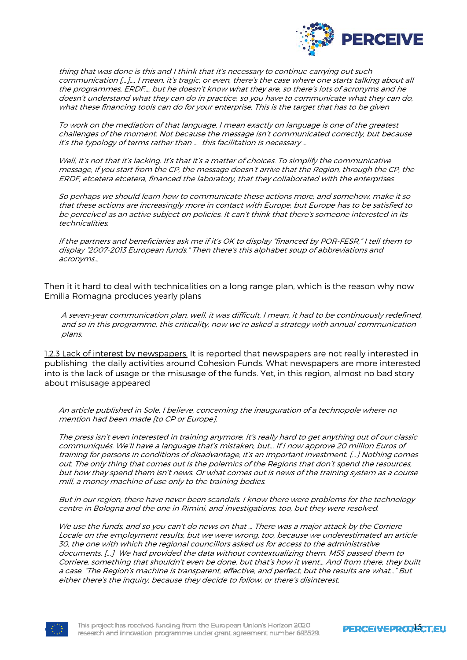

thing that was done is this and I think that it's necessary to continue carrying out such communication [...]…, I mean, it's tragic, or even, there's the case where one starts talking about all the programmes, ERDF…, but he doesn't know what they are, so there's lots of acronyms and he doesn't understand what they can do in practice, so you have to communicate what they can do, what these financing tools can do for your enterprise. This is the target that has to be given

To work on the mediation of that language, I mean exactly on language is one of the greatest challenges of the moment. Not because the message isn't communicated correctly, but because it's the typology of terms rather than … this facilitation is necessary …

Well, it's not that it's lacking. It's that it's a matter of choices. To simplify the communicative message, if you start from the CP, the message doesn't arrive that the Region, through the CP, the ERDF, etcetera etcetera, financed the laboratory, that they collaborated with the enterprises

So perhaps we should learn how to communicate these actions more, and somehow, make it so that these actions are increasingly more in contact with Europe, but Europe has to be satisfied to be perceived as an active subject on policies. It can't think that there's someone interested in its technicalities.

If the partners and beneficiaries ask me if it's OK to display "financed by POR-FESR," I tell them to display "2007-2013 European funds." Then there's this alphabet soup of abbreviations and acronyms…

Then it it hard to deal with technicalities on a long range plan, which is the reason why now Emilia Romagna produces yearly plans

A seven-year communication plan, well, it was difficult, I mean, it had to be continuously redefined, and so in this programme, this criticality, now we're asked a strategy with annual communication plans.

1.2.3 Lack of interest by newspapers. It is reported that newspapers are not really interested in publishing the daily activities around Cohesion Funds. What newspapers are more interested into is the lack of usage or the misusage of the funds. Yet, in this region, almost no bad story about misusage appeared

An article published in Sole, I believe, concerning the inauguration of a technopole where no mention had been made [to CP or Europe].

The press isn't even interested in training anymore. It's really hard to get anything out of our classic communiqués. We'll have a language that's mistaken, but... If I now approve 20 million Euros of training for persons in conditions of disadvantage, it's an important investment. [...] Nothing comes out. The only thing that comes out is the polemics of the Regions that don't spend the resources, but how they spend them isn't news. Or what comes out is news of the training system as a course mill, a money machine of use only to the training bodies.

But in our region, there have never been scandals. I know there were problems for the technology centre in Bologna and the one in Rimini, and investigations, too, but they were resolved.

We use the funds, and so you can't do news on that ... There was a major attack by the Corriere Locale on the employment results, but we were wrong, too, because we underestimated an article 30, the one with which the regional councillors asked us for access to the administrative documents. [...] We had provided the data without contextualizing them. M5S passed them to Corriere, something that shouldn't even be done, but that's how it went… And from there, they built a case. "The Region's machine is transparent, effective, and perfect, but the results are what…" But either there's the inquiry, because they decide to follow, or there's disinterest.

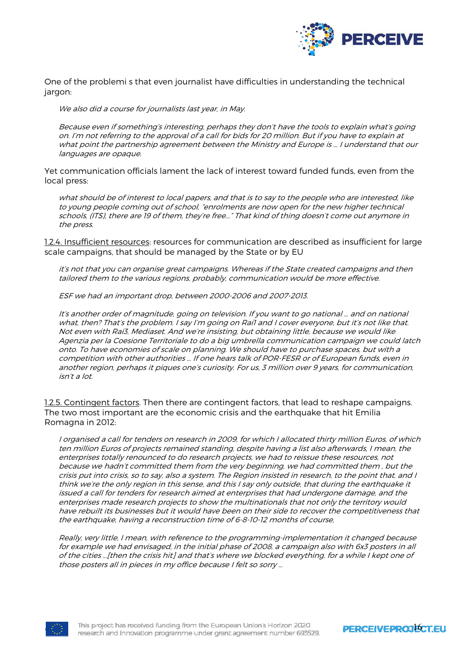

One of the problemi s that even journalist have difficulties in understanding the technical jargon:

We also did a course for journalists last year, in May.

Because even if something's interesting, perhaps they don't have the tools to explain what's going on. I'm not referring to the approval of a call for bids for 20 million. But if you have to explain at what point the partnership agreement between the Ministry and Europe is … I understand that our languages are opaque.

Yet communication officials lament the lack of interest toward funded funds, even from the local press:

what should be of interest to local papers, and that is to say to the people who are interested, like to young people coming out of school, "enrolments are now open for the new higher technical schools, (ITS), there are 19 of them, they're free..." That kind of thing doesn't come out anymore in the press.

1.2.4. Insufficient resources: resources for communication are described as insufficient for large scale campaigns, that should be managed by the State or by EU

it's not that you can organise great campaigns. Whereas if the State created campaigns and then tailored them to the various regions, probably, communication would be more effective.

ESF we had an important drop, between 2000-2006 and 2007-2013.

It's another order of magnitude, going on television. If you want to go national … and on national what, then? That's the problem. I say I'm going on Rai1 and I cover everyone, but it's not like that. Not even with Rai3, Mediaset. And we're insisting, but obtaining little, because we would like Agenzia per la Coesione Territoriale to do a big umbrella communication campaign we could latch onto. To have economies of scale on planning. We should have to purchase spaces, but with a competition with other authorities … If one hears talk of POR-FESR or of European funds, even in another region, perhaps it piques one's curiosity. For us, 3 million over 9 years, for communication, isn't a lot.

1.2.5. Contingent factors. Then there are contingent factors, that lead to reshape campaigns. The two most important are the economic crisis and the earthquake that hit Emilia Romagna in 2012:

I organised a call for tenders on research in 2009, for which I allocated thirty million Euros, of which ten million Euros of projects remained standing, despite having a list also afterwards, I mean, the enterprises totally renounced to do research projects, we had to reissue these resources, not because we hadn't committed them from the very beginning, we had committed them , but the crisis put into crisis, so to say, also a system. The Region insisted in research, to the point that, and I think we're the only region in this sense, and this I say only outside, that during the earthquake it issued a call for tenders for research aimed at enterprises that had undergone damage, and the enterprises made research projects to show the multinationals that not only the territory would have rebuilt its businesses but it would have been on their side to recover the competitiveness that the earthquake, having a reconstruction time of 6-8-10-12 months of course,

Really, very little, I mean, with reference to the programming-implementation it changed because for example we had envisaged, in the initial phase of 2008, a campaign also with 6x3 posters in all of the cities …[then the crisis hit] and that's where we blocked everything, for a while I kept one of those posters all in pieces in my office because I felt so sorry …



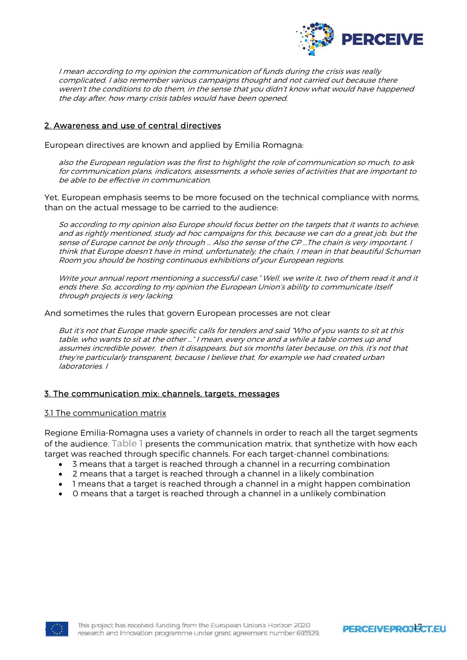

I mean according to my opinion the communication of funds during the crisis was really complicated. I also remember various campaigns thought and not carried out because there weren't the conditions to do them, in the sense that you didn't know what would have happened the day after, how many crisis tables would have been opened,

## 2. Awareness and use of central directives

European directives are known and applied by Emilia Romagna:

also the European regulation was the first to highlight the role of communication so much, to ask for communication plans, indicators, assessments, a whole series of activities that are important to be able to be effective in communication.

Yet, European emphasis seems to be more focused on the technical compliance with norms, than on the actual message to be carried to the audience:

So according to my opinion also Europe should focus better on the targets that it wants to achieve, and as rightly mentioned, study ad hoc campaigns for this, because we can do a great job, but the sense of Europe cannot be only through … Also the sense of the CP …The chain is very important. I think that Europe doesn't have in mind, unfortunately, the chain, I mean in that beautiful Schuman Room you should be hosting continuous exhibitions of your European regions.

Write your annual report mentioning a successful case." Well, we write it, two of them read it and it ends there. So, according to my opinion the European Union's ability to communicate itself through projects is very lacking.

And sometimes the rules that govern European processes are not clear

But it's not that Europe made specific calls for tenders and said "Who of you wants to sit at this table, who wants to sit at the other …" I mean, every once and a while a table comes up and assumes incredible power, then it disappears, but six months later because, on this, it's not that they're particularly transparent, because I believe that, for example we had created urban laboratories. I

#### 3. The communication mix: channels, targets, messages

#### 3.1 The communication matrix

Regione Emilia-Romagna uses a variety of channels in order to reach all the target segments of the audience. Table 1 presents the communication matrix, that synthetize with how each target was reached through specific channels. For each target-channel combinations:

- 3 means that a target is reached through a channel in a recurring combination
- 2 means that a target is reached through a channel in a likely combination
- 1 means that a target is reached through a channel in a might happen combination
- 0 means that a target is reached through a channel in a unlikely combination

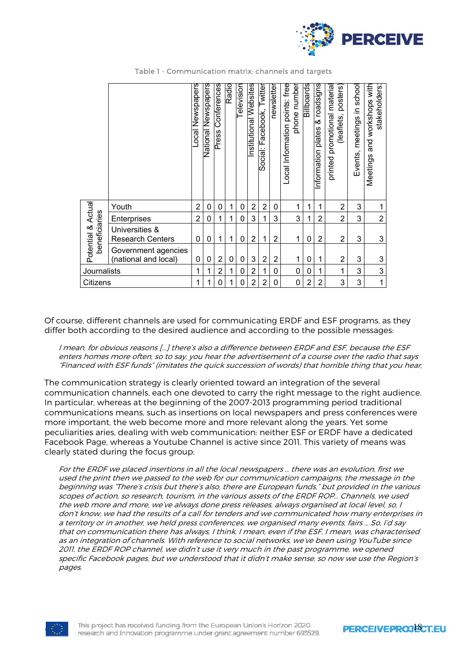

|                                     |                                             | Newspapers<br>$\overline{\text{1}}$ ocal | Newspapers<br><u>National</u> | Conferences<br>Press | Radio | elevision   | Websites<br>Institutional | acebook, Twitter<br>щ.<br>Social: | newsletter     | phone number<br>Local Information points: free | Billboards | roadsigns<br>∞<br>plates<br>Information | posters)<br>material<br>promotional<br>(leaflets,<br>printed | schoo<br>meetings in<br>Events, | and workshops with<br>stakeholders:<br>Meetings |
|-------------------------------------|---------------------------------------------|------------------------------------------|-------------------------------|----------------------|-------|-------------|---------------------------|-----------------------------------|----------------|------------------------------------------------|------------|-----------------------------------------|--------------------------------------------------------------|---------------------------------|-------------------------------------------------|
|                                     | Youth                                       | $\overline{2}$                           | 0                             | 0                    | 1     | 0           | $\overline{2}$            | 2                                 | 0              | 1                                              | 1          | 1                                       | $\overline{2}$                                               | 3                               |                                                 |
|                                     | Enterprises                                 | $\overline{2}$                           | 0                             | 1                    | 1     | $\mathbf 0$ | 3                         | 1                                 | 3              | 3                                              |            | $\overline{2}$                          | $\overline{2}$                                               | 3                               | $\overline{2}$                                  |
| Potential & Actual<br>beneficiaries | Universities &<br><b>Research Centers</b>   | 0                                        | 0                             | 1                    | 1     | $\mathbf 0$ | $\overline{2}$            | 1                                 | $\overline{2}$ | 1                                              | 0          | $\overline{2}$                          | $\overline{2}$                                               | 3                               | 3                                               |
|                                     | Government agencies<br>(national and local) | 0                                        | 0                             | 2                    | 0     | $\mathbf 0$ | 3                         | $\overline{2}$                    | $\overline{2}$ | 1                                              | 0          | 1                                       | $\overline{2}$                                               | 3                               | 3                                               |
| Journalists                         |                                             | 1                                        | 1                             | 2                    | 1     | $\mathbf 0$ | 2                         | 1                                 | $\mathbf{0}$   | $\mathbf{0}$                                   | 0          | 1                                       | 1                                                            | 3                               | 3                                               |
| Citizens                            |                                             | 1                                        | 1                             | 0                    | 1     | 0           | $\overline{2}$            | 2                                 | 0              | 0                                              | 2          | $\overline{2}$                          | 3                                                            | 3                               | 1                                               |

Table 1 - Communication matrix: channels and targets

Of course, different channels are used for communicating ERDF and ESF programs, as they differ both according to the desired audience and according to the possible messages:

I mean, for obvious reasons […] there's also a difference between ERDF and ESF, because the ESF enters homes more often, so to say, you hear the advertisement of a course over the radio that says "Financed with ESF funds" (imitates the quick succession of words) that horrible thing that you hear,

The communication strategy is clearly oriented toward an integration of the several communication channels, each one devoted to carry the right message to the right audience. In particular, whereas at the beginning of the 2007-2013 programming period traditional communications means, such as insertions on local newspapers and press conferences were more important, the web become more and more relevant along the years. Yet some peculiarities aries, dealing with web communication: neither ESF or ERDF have a dedicated Facebook Page, whereas a Youtube Channel is active since 2011. This variety of means was clearly stated during the focus group:

For the ERDF we placed insertions in all the local newspapers … there was an evolution, first we used the print then we passed to the web for our communication campaigns, the message in the beginning was "There's crisis but there's also, there are European funds," but provided in the various scopes of action, so research, tourism, in the various assets of the ERDF ROP… Channels, we used the web more and more, we've always done press releases, always organised at local level, so, I don't know, we had the results of a call for tenders and we communicated how many enterprises in a territory or in another, we held press conferences, we organised many events, fairs … So, I'd say that on communication there has always, I think, I mean, even if the ESF, I mean, was characterised as an integration of channels. With reference to social networks, we've been using YouTube since 2011, the ERDF ROP channel, we didn't use it very much in the past programme, we opened specific Facebook pages, but we understood that it didn't make sense, so now we use the Region's pages.

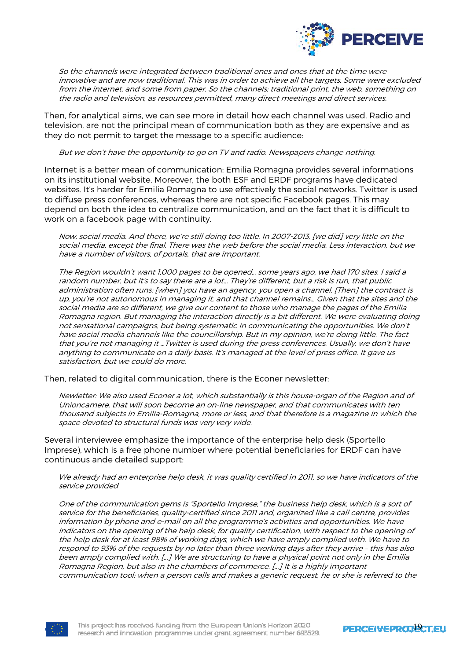

So the channels were integrated between traditional ones and ones that at the time were innovative and are now traditional. This was in order to achieve all the targets. Some were excluded from the internet, and some from paper. So the channels: traditional print, the web, something on the radio and television, as resources permitted, many direct meetings and direct services.

Then, for analytical aims, we can see more in detail how each channel was used. Radio and television, are not the principal mean of communication both as they are expensive and as they do not permit to target the message to a specific audience:

But we don't have the opportunity to go on TV and radio. Newspapers change nothing.

Internet is a better mean of communication: Emilia Romagna provides several informations on its institutional website. Moreover, the both ESF and ERDF programs have dedicated websites. It's harder for Emilia Romagna to use effectively the social networks. Twitter is used to diffuse press conferences, whereas there are not specific Facebook pages. This may depend on both the idea to centralize communication, and on the fact that it is difficult to work on a facebook page with continuity.

Now, social media. And there, we're still doing too little. In 2007-2013, [we did] very little on the social media, except the final. There was the web before the social media. Less interaction, but we have a number of visitors, of portals, that are important.

The Region wouldn't want 1,000 pages to be opened… some years ago, we had 170 sites. I said a random number, but it's to say there are a lot... They're different, but a risk is run, that public administration often runs: [when] you have an agency, you open a channel. [Then] the contract is up, you're not autonomous in managing it, and that channel remains… Given that the sites and the social media are so different, we give our content to those who manage the pages of the Emilia Romagna region. But managing the interaction directly is a bit different. We were evaluating doing not sensational campaigns, but being systematic in communicating the opportunities. We don't have social media channels like the councillorship. But in my opinion, we're doing little. The fact that you're not managing it …Twitter is used during the press conferences. Usually, we don't have anything to communicate on a daily basis. It's managed at the level of press office. It gave us satisfaction, but we could do more.

Then, related to digital communication, there is the Econer newsletter:

Newletter: We also used Econer a lot, which substantially is this house-organ of the Region and of Unioncamere, that will soon become an on-line newspaper, and that communicates with ten thousand subjects in Emilia-Romagna, more or less, and that therefore is a magazine in which the space devoted to structural funds was very very wide.

Several interviewee emphasize the importance of the enterprise help desk (Sportello Imprese), which is a free phone number where potential beneficiaries for ERDF can have continuous ande detailed support:

We already had an enterprise help desk, it was quality certified in 2011, so we have indicators of the service provided

One of the communication gems is "Sportello Imprese," the business help desk, which is a sort of service for the beneficiaries, quality-certified since 2011 and, organized like a call centre, provides information by phone and e-mail on all the programme's activities and opportunities. We have indicators on the opening of the help desk, for quality certification, with respect to the opening of the help desk for at least 98% of working days, which we have amply complied with. We have to respond to 93% of the requests by no later than three working days after they arrive – this has also been amply complied with. [...] We are structuring to have a physical point not only in the Emilia Romagna Region, but also in the chambers of commerce. [...] It is a highly important communication tool: when a person calls and makes a generic request, he or she is referred to the

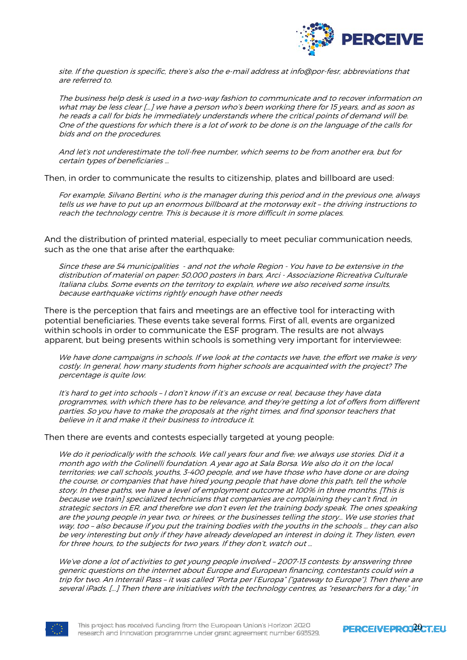

site. If the question is specific, there's also the e-mail address at info@por-fesr, abbreviations that are referred to.

The business help desk is used in a two-way fashion to communicate and to recover information on what may be less clear [...] we have a person who's been working there for 15 years, and as soon as he reads a call for bids he immediately understands where the critical points of demand will be. One of the questions for which there is a lot of work to be done is on the language of the calls for bids and on the procedures.

And let's not underestimate the toll-free number, which seems to be from another era, but for certain types of beneficiaries …

Then, in order to communicate the results to citizenship, plates and billboard are used:

For example, Silvano Bertini, who is the manager during this period and in the previous one, always tells us we have to put up an enormous billboard at the motorway exit – the driving instructions to reach the technology centre. This is because it is more difficult in some places.

And the distribution of printed material, especially to meet peculiar communication needs, such as the one that arise after the earthquake:

Since these are 54 municipalities - and not the whole Region - You have to be extensive in the distribution of material on paper: 50,000 posters in bars, Arci - Associazione Ricreativa Culturale Italiana clubs. Some events on the territory to explain, where we also received some insults, because earthquake victims rightly enough have other needs

There is the perception that fairs and meetings are an effective tool for interacting with potential beneficiaries. These events take several forms. First of all, events are organized within schools in order to communicate the ESF program. The results are not always apparent, but being presents within schools is something very important for interviewee:

We have done campaigns in schools. If we look at the contacts we have, the effort we make is very costly. In general, how many students from higher schools are acquainted with the project? The percentage is quite low.

It's hard to get into schools – I don't know if it's an excuse or real, because they have data programmes, with which there has to be relevance, and they're getting a lot of offers from different parties. So you have to make the proposals at the right times, and find sponsor teachers that believe in it and make it their business to introduce it.

Then there are events and contests especially targeted at young people:

We do it periodically with the schools. We call years four and five; we always use stories. Did it a month ago with the Golinelli foundation. A year ago at Sala Borsa. We also do it on the local territories; we call schools, youths, 3-400 people, and we have those who have done or are doing the course, or companies that have hired young people that have done this path, tell the whole story. In these paths, we have a level of employment outcome at 100% in three months. [This is because we train] specialized technicians that companies are complaining they can't find, in strategic sectors in ER, and therefore we don't even let the training body speak. The ones speaking are the young people in year two, or hirees, or the businesses telling the story… We use stories that way, too – also because if you put the training bodies with the youths in the schools … they can also be very interesting but only if they have already developed an interest in doing it. They listen, even for three hours, to the subjects for two years. If they don't, watch out …

We've done a lot of activities to get young people involved – 2007-13 contests: by answering three generic questions on the internet about Europe and European financing, contestants could win a trip for two. An Interrail Pass – it was called "Porta per l'Europa" ("gateway to Europe"). Then there are several iPads. [...] Then there are initiatives with the technology centres, as "researchers for a day," in



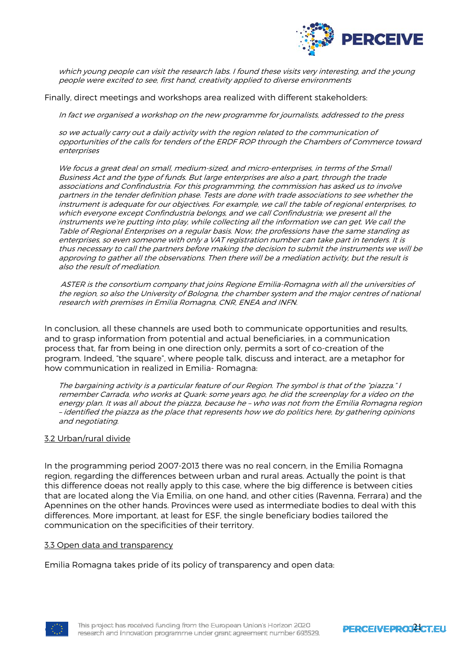

which young people can visit the research labs. I found these visits very interesting, and the young people were excited to see, first hand, creativity applied to diverse environments

Finally, direct meetings and workshops area realized with different stakeholders:

In fact we organised a workshop on the new programme for journalists, addressed to the press

so we actually carry out a daily activity with the region related to the communication of opportunities of the calls for tenders of the ERDF ROP through the Chambers of Commerce toward enterprises

We focus a great deal on small, medium-sized, and micro-enterprises, in terms of the Small Business Act and the type of funds. But large enterprises are also a part, through the trade associations and Confindustria. For this programming, the commission has asked us to involve partners in the tender definition phase. Tests are done with trade associations to see whether the instrument is adequate for our objectives. For example, we call the table of regional enterprises, to which everyone except Confindustria belongs, and we call Confindustria; we present all the instruments we're putting into play, while collecting all the information we can get. We call the Table of Regional Enterprises on a regular basis. Now, the professions have the same standing as enterprises, so even someone with only a VAT registration number can take part in tenders. It is thus necessary to call the partners before making the decision to submit the instruments we will be approving to gather all the observations. Then there will be a mediation activity, but the result is also the result of mediation.

 ASTER is the consortium company that joins Regione Emilia-Romagna with all the universities of the region, so also the University of Bologna, the chamber system and the major centres of national research with premises in Emilia Romagna, CNR, ENEA and INFN.

In conclusion, all these channels are used both to communicate opportunities and results, and to grasp information from potential and actual beneficiaries, in a communication process that, far from being in one direction only, permits a sort of co-creation of the program. Indeed, "the square", where people talk, discuss and interact, are a metaphor for how communication in realized in Emilia- Romagna:

The bargaining activity is a particular feature of our Region. The symbol is that of the "piazza." I remember Carrada, who works at Quark: some years ago, he did the screenplay for a video on the energy plan. It was all about the piazza, because he – who was not from the Emilia Romagna region – identified the piazza as the place that represents how we do politics here, by gathering opinions and negotiating.

#### 3.2 Urban/rural divide

In the programming period 2007-2013 there was no real concern, in the Emilia Romagna region, regarding the differences between urban and rural areas. Actually the point is that this difference doeas not really apply to this case, where the big difference is between cities that are located along the Via Emilia, on one hand, and other cities (Ravenna, Ferrara) and the Apennines on the other hands. Provinces were used as intermediate bodies to deal with this differences. More important, at least for ESF, the single beneficiary bodies tailored the communication on the specificities of their territory.

#### 3.3 Open data and transparency

Emilia Romagna takes pride of its policy of transparency and open data:



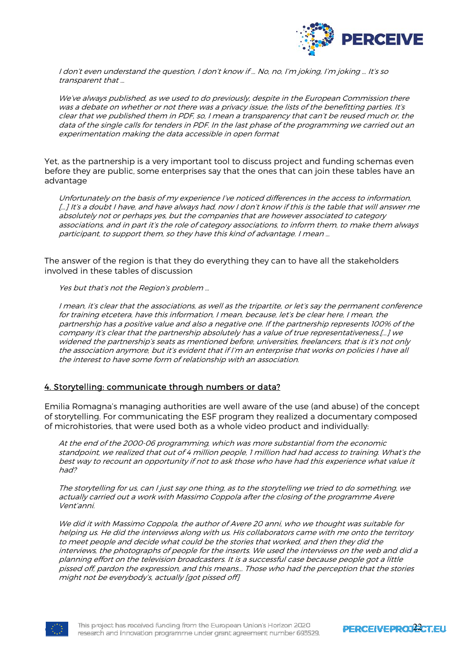

I don't even understand the question, I don't know if … No, no, I'm joking, I'm joking … It's so transparent that …

We've always published, as we used to do previously, despite in the European Commission there was a debate on whether or not there was a privacy issue, the lists of the benefitting parties. It's clear that we published them in PDF, so, I mean a transparency that can't be reused much or, the data of the single calls for tenders in PDF. In the last phase of the programming we carried out an experimentation making the data accessible in open format

Yet, as the partnership is a very important tool to discuss project and funding schemas even before they are public, some enterprises say that the ones that can join these tables have an advantage

Unfortunately on the basis of my experience I've noticed differences in the access to information, […] It's a doubt I have, and have always had, now I don't know if this is the table that will answer me absolutely not or perhaps yes, but the companies that are however associated to category associations, and in part it's the role of category associations, to inform them, to make them always participant, to support them, so they have this kind of advantage. I mean …

The answer of the region is that they do everything they can to have all the stakeholders involved in these tables of discussion

Yes but that's not the Region's problem …

I mean, it's clear that the associations, as well as the tripartite, or let's say the permanent conference for training etcetera, have this information, I mean, because, let's be clear here, I mean, the partnership has a positive value and also a negative one. If the partnership represents 100% of the company it's clear that the partnership absolutely has a value of true representativeness.[...] we widened the partnership's seats as mentioned before, universities, freelancers, that is it's not only the association anymore, but it's evident that if I'm an enterprise that works on policies I have all the interest to have some form of relationship with an association.

#### 4. Storytelling: communicate through numbers or data?

Emilia Romagna's managing authorities are well aware of the use (and abuse) of the concept of storytelling. For communicating the ESF program they realized a documentary composed of microhistories, that were used both as a whole video product and individually:

At the end of the 2000-06 programming, which was more substantial from the economic standpoint, we realized that out of 4 million people, 1 million had had access to training. What's the best way to recount an opportunity if not to ask those who have had this experience what value it had?

The storytelling for us, can I just say one thing, as to the storytelling we tried to do something, we actually carried out a work with Massimo Coppola after the closing of the programme Avere Vent'anni.

We did it with Massimo Coppola, the author of Avere 20 anni, who we thought was suitable for helping us. He did the interviews along with us. His collaborators came with me onto the territory to meet people and decide what could be the stories that worked, and then they did the interviews, the photographs of people for the inserts. We used the interviews on the web and did a planning effort on the television broadcasters. It is a successful case because people got a little pissed off, pardon the expression, and this means... Those who had the perception that the stories might not be everybody's, actually [got pissed off]



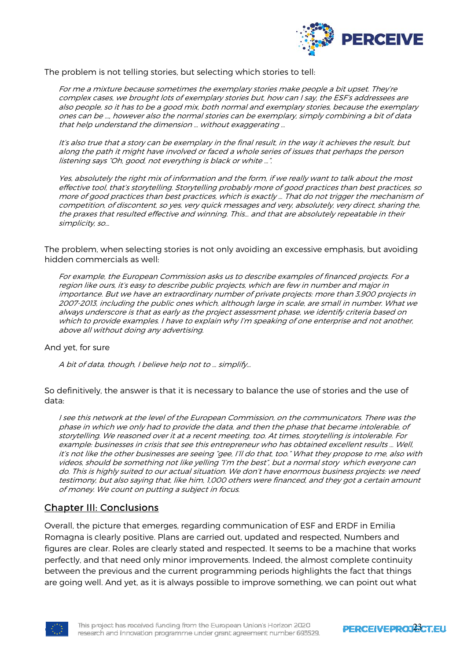

The problem is not telling stories, but selecting which stories to tell:

For me a mixture because sometimes the exemplary stories make people a bit upset. They're complex cases, we brought lots of exemplary stories but, how can I say, the ESF's addressees are also people, so it has to be a good mix, both normal and exemplary stories, because the exemplary ones can be …, however also the normal stories can be exemplary, simply combining a bit of data that help understand the dimension … without exaggerating …

It's also true that a story can be exemplary in the final result, in the way it achieves the result, but along the path it might have involved or faced a whole series of issues that perhaps the person listening says "Oh, good, not everything is black or white …".

Yes, absolutely the right mix of information and the form, if we really want to talk about the most effective tool, that's storytelling. Storytelling probably more of good practices than best practices, so more of good practices than best practices, which is exactly … That do not trigger the mechanism of competition, of discontent, so yes, very quick messages and very, absolutely, very direct, sharing the, the praxes that resulted effective and winning. This… and that are absolutely repeatable in their simplicity, so…

The problem, when selecting stories is not only avoiding an excessive emphasis, but avoiding hidden commercials as well:

For example, the European Commission asks us to describe examples of financed projects. For a region like ours, it's easy to describe public projects, which are few in number and major in importance. But we have an extraordinary number of private projects: more than 3,900 projects in 2007-2013, including the public ones which, although large in scale, are small in number. What we always underscore is that as early as the project assessment phase, we identify criteria based on which to provide examples. I have to explain why I'm speaking of one enterprise and not another, above all without doing any advertising.

#### And yet, for sure

A bit of data, though, I believe help not to … simplify…

So definitively, the answer is that it is necessary to balance the use of stories and the use of data:

I see this network at the level of the European Commission, on the communicators. There was the phase in which we only had to provide the data, and then the phase that became intolerable, of storytelling. We reasoned over it at a recent meeting, too. At times, storytelling is intolerable. For example: businesses in crisis that see this entrepreneur who has obtained excellent results … Well, it's not like the other businesses are seeing "gee, I'll do that, too." What they propose to me, also with videos, should be something not like yelling "I'm the best", but a normal story which everyone can do. This is highly suited to our actual situation. We don't have enormous business projects: we need testimony, but also saying that, like him, 1,000 others were financed, and they got a certain amount of money. We count on putting a subject in focus.

# Chapter III: Conclusions

Overall, the picture that emerges, regarding communication of ESF and ERDF in Emilia Romagna is clearly positive. Plans are carried out, updated and respected, Numbers and figures are clear. Roles are clearly stated and respected. It seems to be a machine that works perfectly, and that need only minor improvements. Indeed, the almost complete continuity between the previous and the current programming periods highlights the fact that things are going well. And yet, as it is always possible to improve something, we can point out what